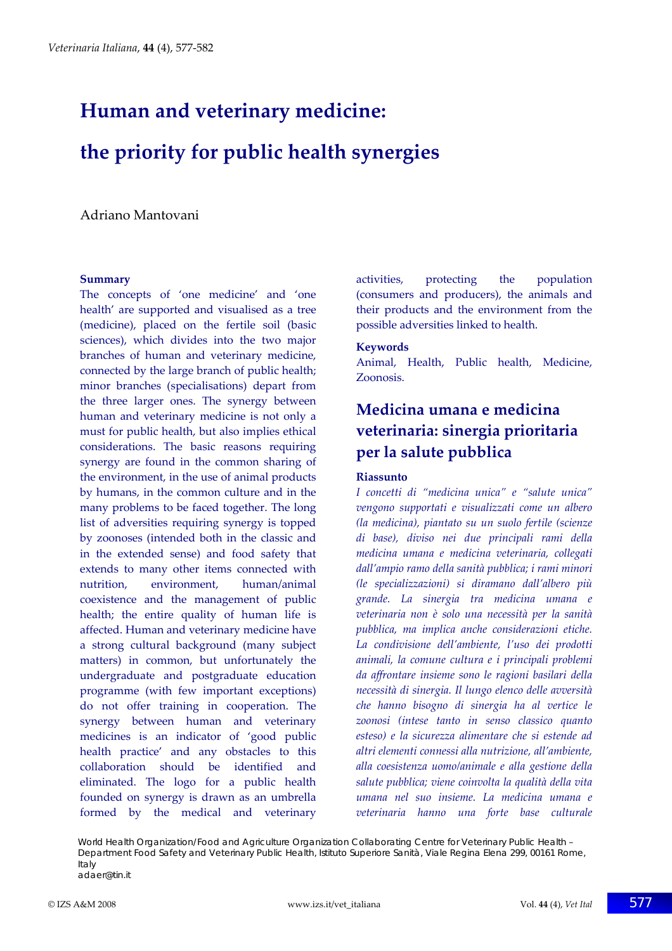# **Human and veterinary medicine: the priority for public health synergies**

Adriano Mantovani

#### **Summary**

The concepts of 'one medicine' and 'one health' are supported and visualised as a tree (medicine), placed on the fertile soil (basic sciences), which divides into the two major branches of human and veterinary medicine, connected by the large branch of public health; minor branches (specialisations) depart from the three larger ones. The synergy between human and veterinary medicine is not only a must for public health, but also implies ethical considerations. The basic reasons requiring synergy are found in the common sharing of the environment, in the use of animal products by humans, in the common culture and in the many problems to be faced together. The long list of adversities requiring synergy is topped by zoonoses (intended both in the classic and in the extended sense) and food safety that extends to many other items connected with nutrition, environment, human/animal coexistence and the management of public health; the entire quality of human life is affected. Human and veterinary medicine have a strong cultural background (many subject matters) in common, but unfortunately the undergraduate and postgraduate education programme (with few important exceptions) do not offer training in cooperation. The synergy between human and veterinary medicines is an indicator of 'good public health practice' and any obstacles to this collaboration should be identified and eliminated. The logo for a public health founded on synergy is drawn as an umbrella formed by the medical and veterinary activities, protecting the population (consumers and producers), the animals and their products and the environment from the possible adversities linked to health.

#### **Keywords**

Animal, Health, Public health, Medicine, Zoonosis.

# **Medicina umana e medicina veterinaria: sinergia prioritaria per la salute pubblica**

#### **Riassunto**

*I concetti di "medicina unica" e "salute unica" vengono supportati e visualizzati come un albero (la medicina), piantato su un suolo fertile (scienze di base), diviso nei due principali rami della medicina umana e medicina veterinaria, collegati dall'ampio ramo della sanità pubblica; i rami minori (le specializzazioni) si diramano dall'albero più grande. La sinergia tra medicina umana e veterinaria non è solo una necessità per la sanità pubblica, ma implica anche considerazioni etiche. La condivisione dell'ambiente, l'uso dei prodotti animali, la comune cultura e i principali problemi da affrontare insieme sono le ragioni basilari della necessità di sinergia. Il lungo elenco delle avversità che hanno bisogno di sinergia ha al vertice le zoonosi (intese tanto in senso classico quanto esteso) e la sicurezza alimentare che si estende ad altri elementi connessi alla nutrizione, all'ambiente, alla coesistenza uomo/animale e alla gestione della salute pubblica; viene coinvolta la qualità della vita umana nel suo insieme. La medicina umana e veterinaria hanno una forte base culturale*

World Health Organization/Food and Agriculture Organization Collaborating Centre for Veterinary Public Health – Department Food Safety and Veterinary Public Health, Istituto Superiore Sanità, Viale Regina Elena 299, 00161 Rome, Italy adaer@tin.it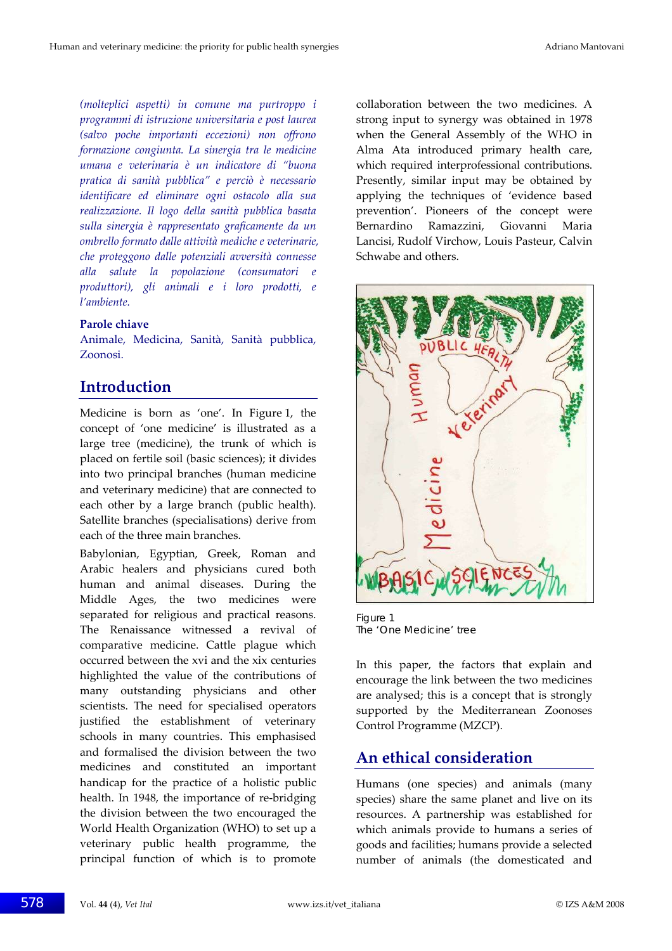*(molteplici aspetti) in comune ma purtroppo i programmi di istruzione universitaria e post laurea (salvo poche importanti eccezioni) non offrono formazione congiunta. La sinergia tra le medicine umana e veterinaria è un indicatore di "buona pratica di sanità pubblica" e perciò è necessario identificare ed eliminare ogni ostacolo alla sua realizzazione. Il logo della sanità pubblica basata sulla sinergia è rappresentato graficamente da un ombrello formato dalle attività mediche e veterinarie, che proteggono dalle potenziali avversità connesse alla salute la popolazione (consumatori e produttori), gli animali e i loro prodotti, e l'ambiente.*

#### **Parole chiave**

Animale, Medicina, Sanità, Sanità pubblica, Zoonosi.

#### **Introduction**

Medicine is born as 'one'. In Figure 1, the concept of 'one medicine' is illustrated as a large tree (medicine), the trunk of which is placed on fertile soil (basic sciences); it divides into two principal branches (human medicine and veterinary medicine) that are connected to each other by a large branch (public health). Satellite branches (specialisations) derive from each of the three main branches.

Babylonian, Egyptian, Greek, Roman and Arabic healers and physicians cured both human and animal diseases. During the Middle Ages, the two medicines were separated for religious and practical reasons. The Renaissance witnessed a revival of comparative medicine. Cattle plague which occurred between the xvi and the xix centuries highlighted the value of the contributions of many outstanding physicians and other scientists. The need for specialised operators justified the establishment of veterinary schools in many countries. This emphasised and formalised the division between the two medicines and constituted an important handicap for the practice of a holistic public health. In 1948, the importance of re-bridging the division between the two encouraged the World Health Organization (WHO) to set up a veterinary public health programme, the principal function of which is to promote

collaboration between the two medicines. A strong input to synergy was obtained in 1978 when the General Assembly of the WHO in Alma Ata introduced primary health care, which required interprofessional contributions. Presently, similar input may be obtained by applying the techniques of 'evidence based prevention'. Pioneers of the concept were Bernardino Ramazzini, Giovanni Maria Lancisi, Rudolf Virchow, Louis Pasteur, Calvin Schwabe and others.



Figure 1 The 'One Medicine' tree

In this paper, the factors that explain and encourage the link between the two medicines are analysed; this is a concept that is strongly supported by the Mediterranean Zoonoses Control Programme (MZCP).

## **An ethical consideration**

Humans (one species) and animals (many species) share the same planet and live on its resources. A partnership was established for which animals provide to humans a series of goods and facilities; humans provide a selected number of animals (the domesticated and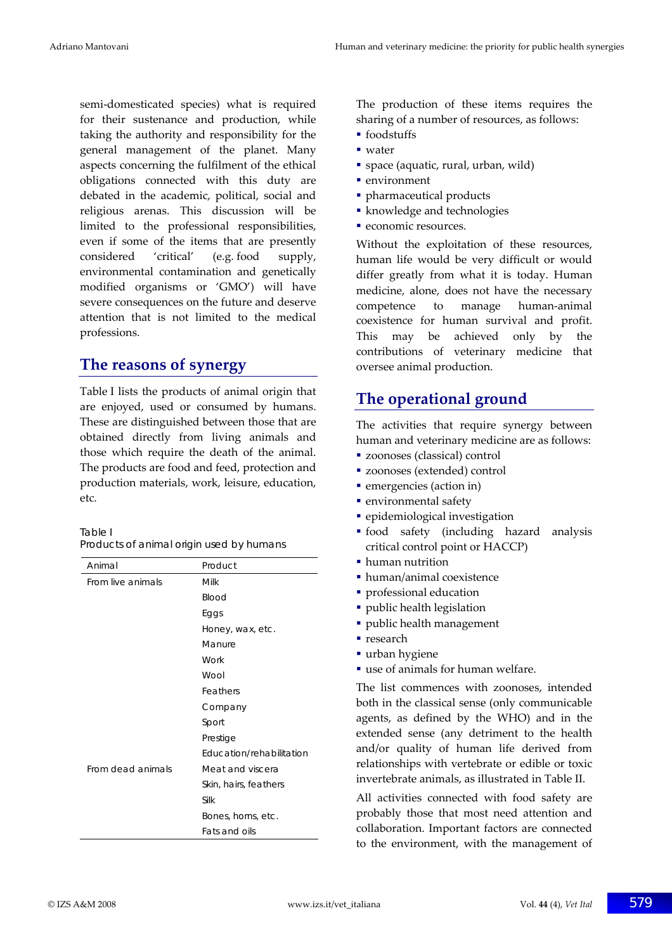semi‐domesticated species) what is required for their sustenance and production, while taking the authority and responsibility for the general management of the planet. Many aspects concerning the fulfilment of the ethical obligations connected with this duty are debated in the academic, political, social and religious arenas. This discussion will be limited to the professional responsibilities, even if some of the items that are presently considered 'critical' (e.g. food supply, environmental contamination and genetically modified organisms or 'GMO') will have severe consequences on the future and deserve attention that is not limited to the medical professions.

## **The reasons of synergy**

Table I lists the products of animal origin that are enjoyed, used or consumed by humans. These are distinguished between those that are obtained directly from living animals and those which require the death of the animal. The products are food and feed, protection and production materials, work, leisure, education, etc.

| Table I                                  |  |
|------------------------------------------|--|
| Products of animal origin used by humans |  |

| Animal            | Product                  |
|-------------------|--------------------------|
| From live animals | Milk                     |
|                   | Blood                    |
|                   | Eggs                     |
|                   | Honey, wax, etc.         |
|                   | Manure                   |
|                   | Work                     |
|                   | Wool                     |
|                   | Feathers                 |
|                   | Company                  |
|                   | Sport                    |
|                   | Prestige                 |
|                   | Education/rehabilitation |
| From dead animals | Meat and viscera         |
|                   | Skin, hairs, feathers    |
|                   | Silk                     |
|                   | Bones, horns, etc.       |
|                   | <b>Fats and oils</b>     |

The production of these items requires the sharing of a number of resources, as follows:

- foodstuffs
- water
- space (aquatic, rural, urban, wild)
- environment
- pharmaceutical products
- knowledge and technologies
- economic resources.

Without the exploitation of these resources, human life would be very difficult or would differ greatly from what it is today. Human medicine, alone, does not have the necessary competence to manage human‐animal coexistence for human survival and profit. This may be achieved only by the contributions of veterinary medicine that oversee animal production.

# **The operational ground**

The activities that require synergy between human and veterinary medicine are as follows:

- zoonoses (classical) control
- zoonoses (extended) control
- emergencies (action in)
- **·** environmental safety
- **·** epidemiological investigation
- food safety (including hazard analysis critical control point or HACCP)
- human nutrition
- human/animal coexistence
- **professional education**
- public health legislation
- public health management
- **research**
- urban hygiene
- use of animals for human welfare.

The list commences with zoonoses, intended both in the classical sense (only communicable agents, as defined by the WHO) and in the extended sense (any detriment to the health and/or quality of human life derived from relationships with vertebrate or edible or toxic invertebrate animals, as illustrated in Table II.

All activities connected with food safety are probably those that most need attention and collaboration. Important factors are connected to the environment, with the management of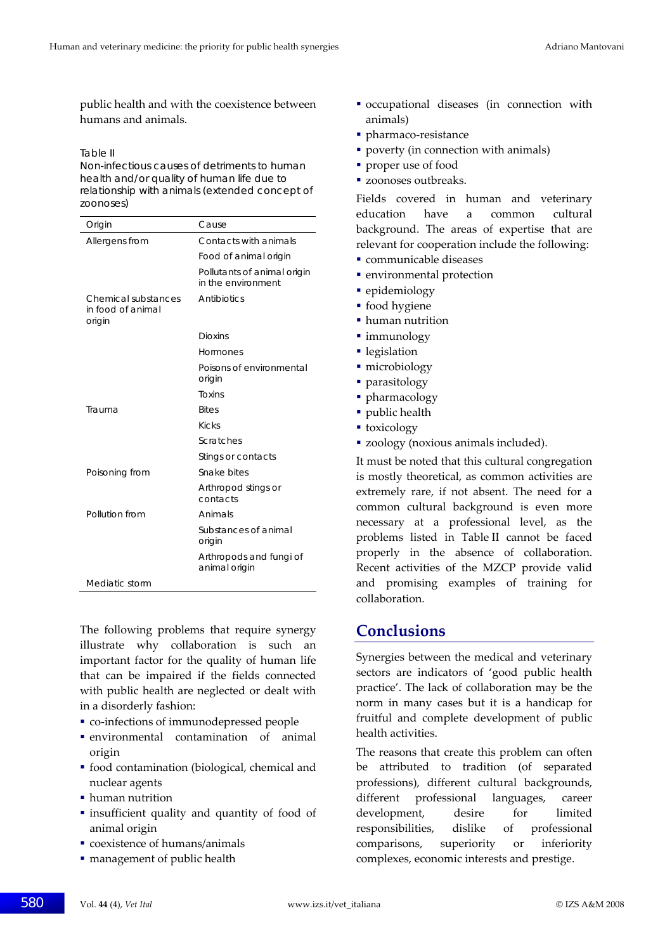public health and with the coexistence between humans and animals.

#### Table II

Non-infectious causes of detriments to human health and/or quality of human life due to relationship with animals (extended concept of zoonoses)

| Origin                                             | Cause                                             |
|----------------------------------------------------|---------------------------------------------------|
| Allergens from                                     | Contacts with animals                             |
|                                                    | Food of animal origin                             |
|                                                    | Pollutants of animal origin<br>in the environment |
| Chemical substances<br>in food of animal<br>origin | Antibiotics                                       |
|                                                    | Dioxins                                           |
|                                                    | Hormones                                          |
|                                                    | Poisons of environmental<br>origin                |
|                                                    | <b>Toxins</b>                                     |
| Trauma                                             | <b>Bites</b>                                      |
|                                                    | <b>Kicks</b>                                      |
|                                                    | Scratches                                         |
|                                                    | Stings or contacts                                |
| Poisoning from                                     | Snake bites                                       |
|                                                    | Arthropod stings or<br>contacts                   |
| Pollution from                                     | Animals                                           |
|                                                    | Substances of animal<br>origin                    |
|                                                    | Arthropods and fungi of<br>animal origin          |
| Mediatic storm                                     |                                                   |

The following problems that require synergy illustrate why collaboration is such an important factor for the quality of human life that can be impaired if the fields connected with public health are neglected or dealt with in a disorderly fashion:

- co-infections of immunodepressed people
- environmental contamination of animal origin
- food contamination (biological, chemical and nuclear agents
- human nutrition
- insufficient quality and quantity of food of animal origin
- coexistence of humans/animals
- management of public health
- occupational diseases (in connection with animals)
- pharmaco-resistance
- **poverty (in connection with animals)**
- proper use of food
- **zoonoses outbreaks.**

Fields covered in human and veterinary education have a common cultural background. The areas of expertise that are relevant for cooperation include the following:

- communicable diseases
- environmental protection
- epidemiology
- food hygiene
- human nutrition
- **·** immunology
- **legislation**
- · microbiology
- parasitology
- pharmacology
- public health
- toxicology
- zoology (noxious animals included).

It must be noted that this cultural congregation is mostly theoretical, as common activities are extremely rare, if not absent. The need for a common cultural background is even more necessary at a professional level, as the problems listed in Table II cannot be faced properly in the absence of collaboration. Recent activities of the MZCP provide valid and promising examples of training for collaboration.

## **Conclusions**

Synergies between the medical and veterinary sectors are indicators of 'good public health practice'. The lack of collaboration may be the norm in many cases but it is a handicap for fruitful and complete development of public health activities.

The reasons that create this problem can often be attributed to tradition (of separated professions), different cultural backgrounds, different professional languages, career development, desire for limited responsibilities, dislike of professional comparisons, superiority or inferiority complexes, economic interests and prestige.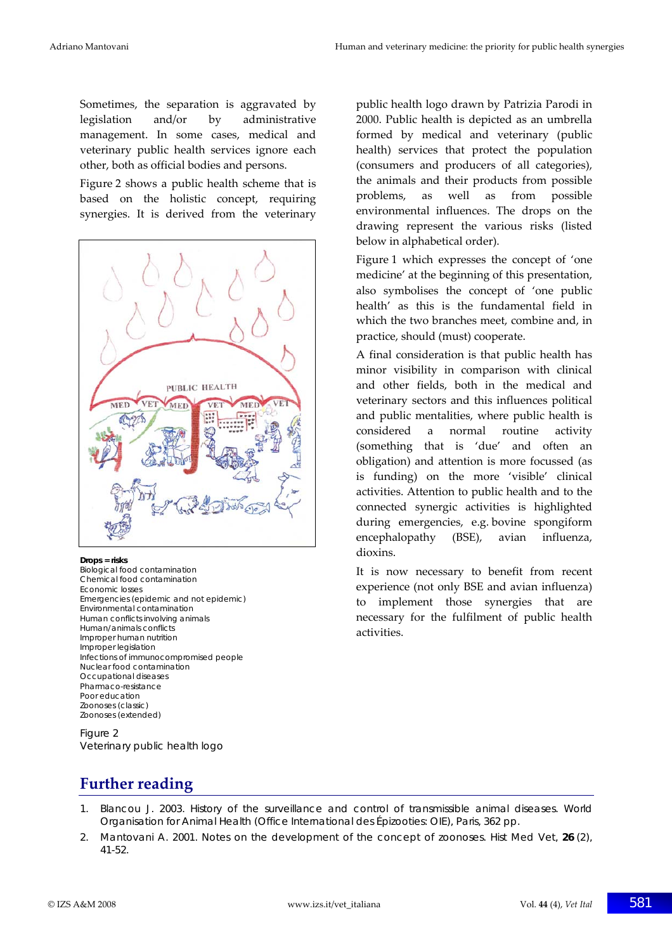Sometimes, the separation is aggravated by legislation and/or by administrative management. In some cases, medical and veterinary public health services ignore each other, both as official bodies and persons.

Figure 2 shows a public health scheme that is based on the holistic concept, requiring synergies. It is derived from the veterinary



#### **Drops = risks**

Biological food contamination Chemical food contamination Economic losses Emergencies (epidemic and not epidemic) Environmental contamination Human conflicts involving animals Human/animals conflicts Improper human nutrition Improper legislation Infections of immunocompromised people Nuclear food contamination Occupational diseases Pharmaco-resistance Poor education Zoonoses (classic) Zoonoses (extended)

Figure 2 Veterinary public health logo public health logo drawn by Patrizia Parodi in 2000. Public health is depicted as an umbrella formed by medical and veterinary (public health) services that protect the population (consumers and producers of all categories), the animals and their products from possible problems, as well as from possible environmental influences. The drops on the drawing represent the various risks (listed below in alphabetical order).

Figure 1 which expresses the concept of 'one medicine' at the beginning of this presentation, also symbolises the concept of 'one public health' as this is the fundamental field in which the two branches meet, combine and, in practice, should (must) cooperate.

A final consideration is that public health has minor visibility in comparison with clinical and other fields, both in the medical and veterinary sectors and this influences political and public mentalities, where public health is considered a normal routine activity (something that is 'due' and often an obligation) and attention is more focussed (as is funding) on the more 'visible' clinical activities. Attention to public health and to the connected synergic activities is highlighted during emergencies, e.g. bovine spongiform encephalopathy (BSE), avian influenza, dioxins.

It is now necessary to benefit from recent experience (not only BSE and avian influenza) to implement those synergies that are necessary for the fulfilment of public health activities.

## **Further reading**

- 1. Blancou J. 2003. History of the surveillance and control of transmissible animal diseases. World Organisation for Animal Health (Office International des Épizooties: OIE), Paris, 362 pp.
- 2. Mantovani A. 2001. Notes on the development of the concept of zoonoses. *Hist Med Vet*, **26** (2), 41-52.